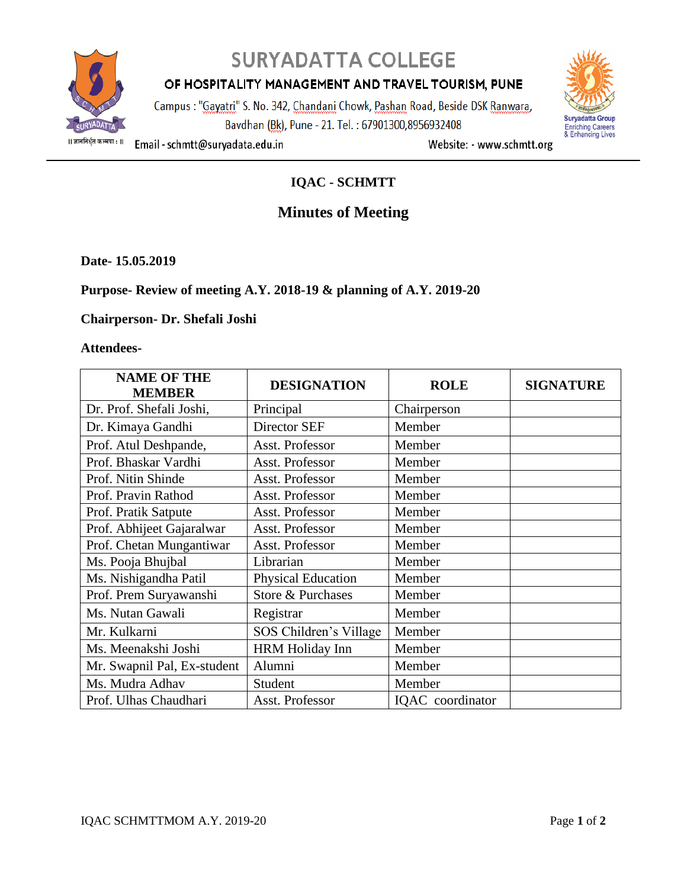

# **SURYADATTA COLLEGE**

## OF HOSPITALITY MANAGEMENT AND TRAVEL TOURISM, PUNE

Campus : "Gayatri" S. No. 342, Chandani Chowk, Pashan Road, Beside DSK Ranwara, Bavdhan (Bk), Pune - 21. Tel.: 67901300,8956932408



Email - schmtt@suryadata.edu.in

Website: - www.schmtt.org

## **IQAC - SCHMTT**

# **Minutes of Meeting**

**Date- 15.05.2019**

#### **Purpose- Review of meeting A.Y. 2018-19 & planning of A.Y. 2019-20**

#### **Chairperson- Dr. Shefali Joshi**

#### **Attendees-**

| <b>NAME OF THE</b><br><b>MEMBER</b> | <b>DESIGNATION</b>     | <b>ROLE</b>      | <b>SIGNATURE</b> |
|-------------------------------------|------------------------|------------------|------------------|
| Dr. Prof. Shefali Joshi,            | Principal              | Chairperson      |                  |
| Dr. Kimaya Gandhi                   | Director SEF           | Member           |                  |
| Prof. Atul Deshpande,               | Asst. Professor        | Member           |                  |
| Prof. Bhaskar Vardhi                | Asst. Professor        | Member           |                  |
| Prof. Nitin Shinde                  | Asst. Professor        | Member           |                  |
| Prof. Pravin Rathod                 | Asst. Professor        | Member           |                  |
| Prof. Pratik Satpute                | Asst. Professor        | Member           |                  |
| Prof. Abhijeet Gajaralwar           | Asst. Professor        | Member           |                  |
| Prof. Chetan Mungantiwar            | Asst. Professor        | Member           |                  |
| Ms. Pooja Bhujbal                   | Librarian              | Member           |                  |
| Ms. Nishigandha Patil               | Physical Education     | Member           |                  |
| Prof. Prem Suryawanshi              | Store & Purchases      | Member           |                  |
| Ms. Nutan Gawali                    | Registrar              | Member           |                  |
| Mr. Kulkarni                        | SOS Children's Village | Member           |                  |
| Ms. Meenakshi Joshi                 | <b>HRM Holiday Inn</b> | Member           |                  |
| Mr. Swapnil Pal, Ex-student         | Alumni                 | Member           |                  |
| Ms. Mudra Adhav                     | Student                | Member           |                  |
| Prof. Ulhas Chaudhari               | Asst. Professor        | IQAC coordinator |                  |